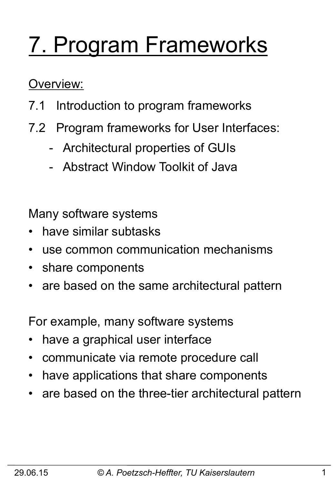# 7. Program Frameworks

#### Overview:

- 7.1 Introduction to program frameworks
- 7.2 Program frameworks for User Interfaces:
	- Architectural properties of GUIs
	- Abstract Window Toolkit of Java

Many software systems

- have similar subtasks
- use common communication mechanisms
- share components
- are based on the same architectural pattern

For example, many software systems

- have a graphical user interface
- communicate via remote procedure call
- have applications that share components
- are based on the three-tier architectural pattern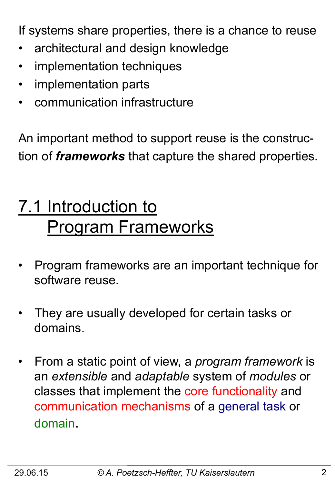If systems share properties, there is a chance to reuse

- architectural and design knowledge
- implementation techniques
- implementation parts
- communication infrastructure

An important method to support reuse is the construction of *frameworks* that capture the shared properties.

# 7.1 Introduction to Program Frameworks

- Program frameworks are an important technique for software reuse.
- They are usually developed for certain tasks or domains.
- From a static point of view, a *program framework* is an *extensible* and *adaptable* system of *modules* or classes that implement the core functionality and communication mechanisms of a general task or domain.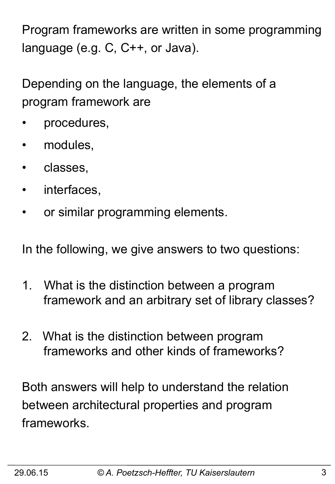Program frameworks are written in some programming language (e.g. C, C++, or Java).

Depending on the language, the elements of a program framework are

- procedures,
- modules,
- classes,
- interfaces,
- or similar programming elements.

In the following, we give answers to two questions:

- 1. What is the distinction between a program framework and an arbitrary set of library classes?
- 2. What is the distinction between program frameworks and other kinds of frameworks?

Both answers will help to understand the relation between architectural properties and program frameworks.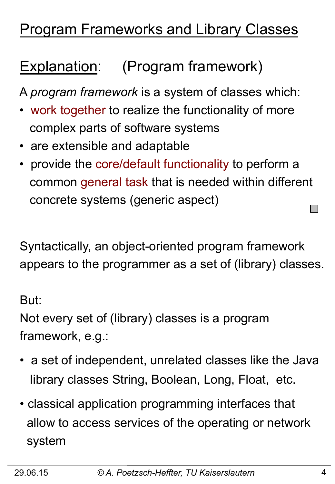#### Program Frameworks and Library Classes

## Explanation: (Program framework)

A *program framework* is a system of classes which:

- work together to realize the functionality of more complex parts of software systems
- are extensible and adaptable
- provide the core/default functionality to perform a common general task that is needed within different concrete systems (generic aspect)

Syntactically, an object-oriented program framework appears to the programmer as a set of (library) classes.

But:

Not every set of (library) classes is a program framework, e.g.:

- a set of independent, unrelated classes like the Java library classes String, Boolean, Long, Float, etc.
- classical application programming interfaces that allow to access services of the operating or network system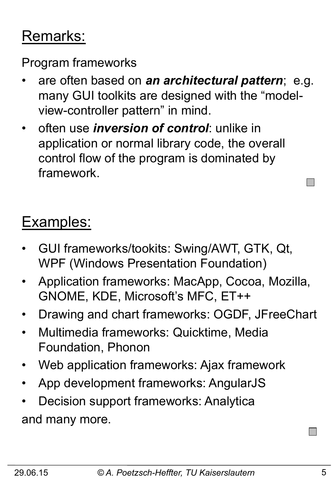#### Remarks:

Program frameworks

- are often based on *an architectural pattern*; e.g. many GUI toolkits are designed with the "modelview-controller pattern" in mind.
- often use *inversion of control*: unlike in application or normal library code, the overall control flow of the program is dominated by framework.

## Examples:

- GUI frameworks/tookits: Swing/AWT, GTK, Qt, WPF (Windows Presentation Foundation)
- Application frameworks: MacApp, Cocoa, Mozilla, GNOME, KDE, Microsoft's MFC, ET++
- Drawing and chart frameworks: OGDF, JFreeChart
- Multimedia frameworks: Quicktime, Media Foundation, Phonon
- Web application frameworks: Ajax framework
- App development frameworks: AngularJS
- Decision support frameworks: Analytica and many more.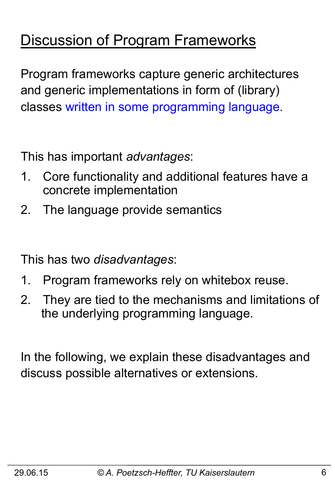#### Discussion of Program Frameworks

Program frameworks capture generic architectures and generic implementations in form of (library) classes written in some programming language.

This has important *advantages*:

- 1. Core functionality and additional features have a concrete implementation
- 2. The language provide semantics

This has two *disadvantages*:

- 1. Program frameworks rely on whitebox reuse.
- 2. They are tied to the mechanisms and limitations of the underlying programming language.

In the following, we explain these disadvantages and discuss possible alternatives or extensions.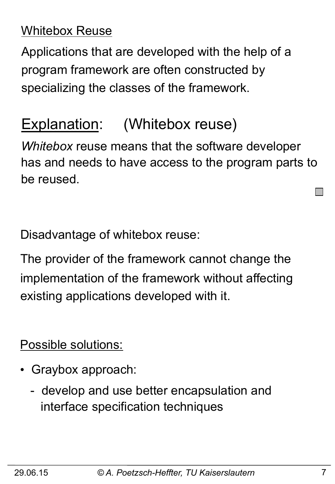#### Whitebox Reuse

Applications that are developed with the help of a program framework are often constructed by specializing the classes of the framework.

#### Explanation: (Whitebox reuse)

*Whitebox* reuse means that the software developer has and needs to have access to the program parts to be reused.

Disadvantage of whitebox reuse:

The provider of the framework cannot change the implementation of the framework without affecting existing applications developed with it.

Possible solutions:

- Graybox approach:
	- develop and use better encapsulation and interface specification techniques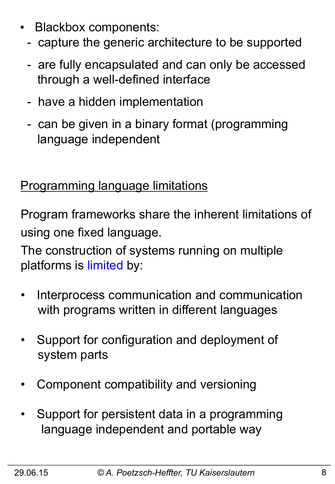- Blackbox components:
	- capture the generic architecture to be supported
	- are fully encapsulated and can only be accessed through a well-defined interface
	- have a hidden implementation
	- can be given in a binary format (programming language independent

#### Programming language limitations

Program frameworks share the inherent limitations of using one fixed language.

The construction of systems running on multiple platforms is limited by:

- Interprocess communication and communication with programs written in different languages
- Support for configuration and deployment of system parts
- Component compatibility and versioning
- Support for persistent data in a programming language independent and portable way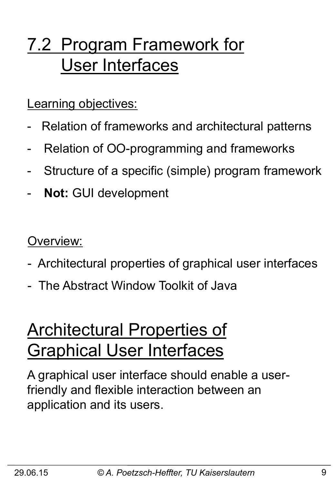# 7.2 Program Framework for User Interfaces

Learning objectives:

- Relation of frameworks and architectural patterns
- Relation of OO-programming and frameworks
- Structure of a specific (simple) program framework
- Not: GUI development

Overview:

- Architectural properties of graphical user interfaces
- The Abstract Window Toolkit of Java

## Architectural Properties of Graphical User Interfaces

A graphical user interface should enable a userfriendly and flexible interaction between an application and its users.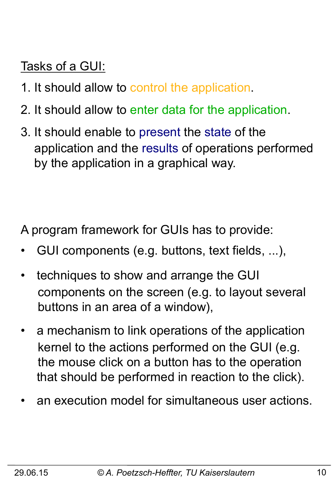Tasks of a GUI:

- 1. It should allow to control the application.
- 2. It should allow to enter data for the application.
- 3. It should enable to present the state of the application and the results of operations performed by the application in a graphical way.

A program framework for GUIs has to provide:

- GUI components (e.g. buttons, text fields, ...),
- techniques to show and arrange the GUI components on the screen (e.g. to layout several buttons in an area of a window),
- a mechanism to link operations of the application kernel to the actions performed on the GUI (e.g. the mouse click on a button has to the operation that should be performed in reaction to the click).
- an execution model for simultaneous user actions.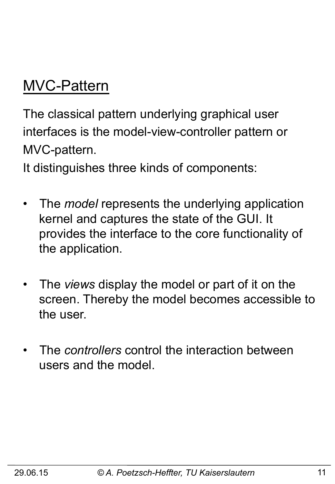#### MVC-Pattern

The classical pattern underlying graphical user interfaces is the model-view-controller pattern or MVC-pattern.

It distinguishes three kinds of components:

- The *model* represents the underlying application kernel and captures the state of the GUI. It provides the interface to the core functionality of the application.
- The *views* display the model or part of it on the screen. Thereby the model becomes accessible to the user.
- The *controllers* control the interaction between users and the model.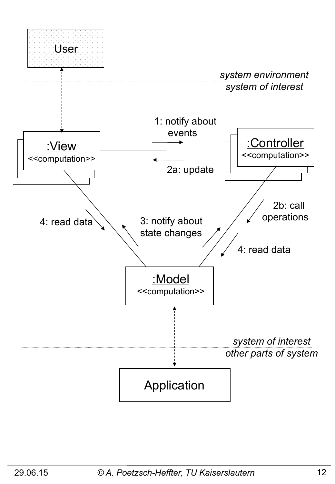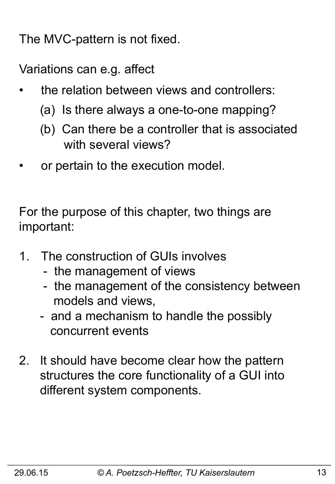The MVC-pattern is not fixed.

Variations can e.g. affect

- the relation between views and controllers:
	- (a) Is there always a one-to-one mapping?
	- (b) Can there be a controller that is associated with several views?
- or pertain to the execution model.

For the purpose of this chapter, two things are important:

- 1. The construction of GUIs involves
	- the management of views
	- the management of the consistency between models and views,
	- and a mechanism to handle the possibly concurrent events
- 2. It should have become clear how the pattern structures the core functionality of a GUI into different system components.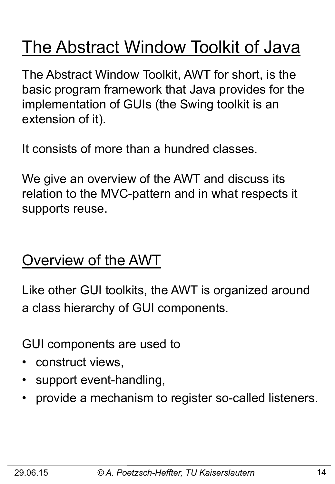# The Abstract Window Toolkit of Java

The Abstract Window Toolkit, AWT for short, is the basic program framework that Java provides for the implementation of GUIs (the Swing toolkit is an extension of it).

It consists of more than a hundred classes.

We give an overview of the AWT and discuss its relation to the MVC-pattern and in what respects it supports reuse.

#### Overview of the AWT

Like other GUI toolkits, the AWT is organized around a class hierarchy of GUI components.

GUI components are used to

- construct views,
- support event-handling,
- provide a mechanism to register so-called listeners.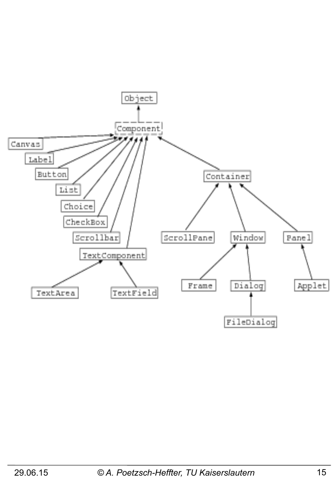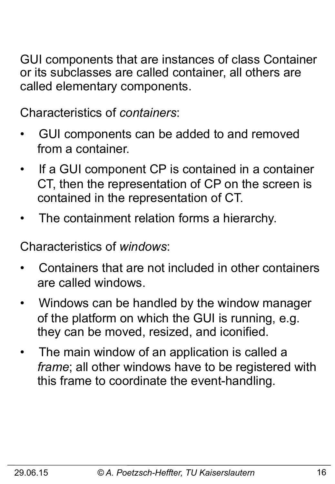GUI components that are instances of class Container or its subclasses are called container, all others are called elementary components.

Characteristics of *containers*:

- GUI components can be added to and removed from a container.
- If a GUI component CP is contained in a container CT, then the representation of CP on the screen is contained in the representation of CT.
- The containment relation forms a hierarchy.

Characteristics of *windows*:

- Containers that are not included in other containers are called windows.
- Windows can be handled by the window manager of the platform on which the GUI is running, e.g. they can be moved, resized, and iconified.
- The main window of an application is called a  *frame*; all other windows have to be registered with this frame to coordinate the event-handling.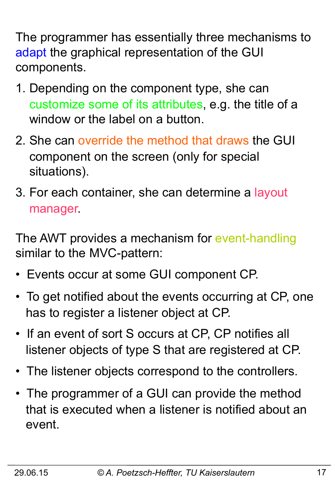The programmer has essentially three mechanisms to adapt the graphical representation of the GUI components.

- 1. Depending on the component type, she can customize some of its attributes, e.g. the title of a window or the label on a button.
- 2. She can override the method that draws the GUI component on the screen (only for special situations).
- 3. For each container, she can determine a layout manager.

The AWT provides a mechanism for event-handling similar to the MVC-pattern:

- Events occur at some GUI component CP.
- To get notified about the events occurring at CP, one has to register a listener object at CP.
- If an event of sort S occurs at CP, CP notifies all listener objects of type S that are registered at CP.
- The listener objects correspond to the controllers.
- The programmer of a GUI can provide the method that is executed when a listener is notified about an event.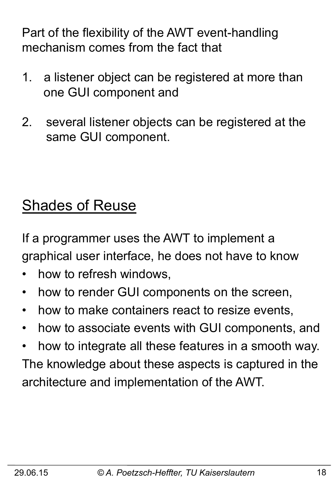Part of the flexibility of the AWT event-handling mechanism comes from the fact that

- 1. a listener object can be registered at more than one GUI component and
- 2. several listener objects can be registered at the same GUI component.

## Shades of Reuse

If a programmer uses the AWT to implement a graphical user interface, he does not have to know

- how to refresh windows,
- how to render GUI components on the screen,
- how to make containers react to resize events,
- how to associate events with GUI components, and
- how to integrate all these features in a smooth way. The knowledge about these aspects is captured in the architecture and implementation of the AWT.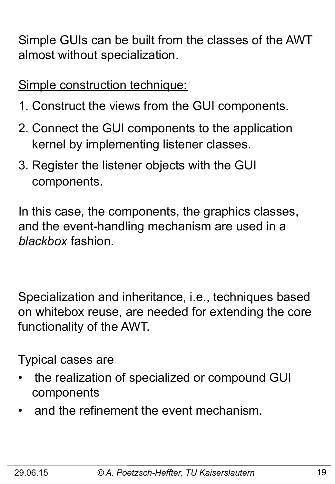Simple GUIs can be built from the classes of the AWT almost without specialization.

Simple construction technique:

- 1. Construct the views from the GUI components.
- 2. Connect the GUI components to the application kernel by implementing listener classes.
- 3. Register the listener objects with the GUI components.

In this case, the components, the graphics classes, and the event-handling mechanism are used in a *blackbox* fashion.

Specialization and inheritance, i.e., techniques based on whitebox reuse, are needed for extending the core functionality of the AWT.

Typical cases are

- the realization of specialized or compound GUI components
- and the refinement the event mechanism.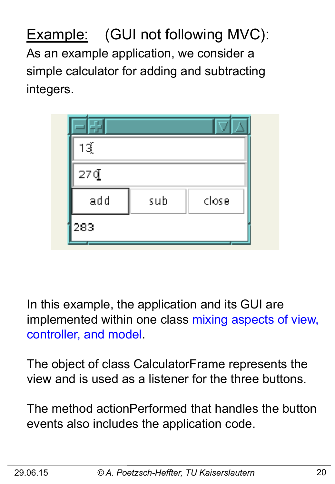Example: (GUI not following MVC): As an example application, we consider a simple calculator for adding and subtracting integers.

| 13{ |     |       |
|-----|-----|-------|
| 27Q |     |       |
| add | sub | close |
| 283 |     |       |

In this example, the application and its GUI are implemented within one class mixing aspects of view, controller, and model.

The object of class CalculatorFrame represents the view and is used as a listener for the three buttons.

The method actionPerformed that handles the button events also includes the application code.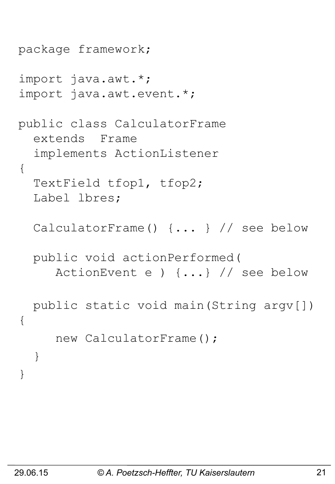```
package framework; 
import java.awt.*; 
import java.awt.event.*; 
public class CalculatorFrame 
   extends Frame 
   implements ActionListener 
{ 
   TextField tfop1, tfop2; 
   Label lbres; 
   CalculatorFrame() {... } // see below 
   public void actionPerformed( 
      ActionEvent e ) {...} // see below 
   public static void main(String argv[]) 
{ 
      new CalculatorFrame(); 
   } 
}
```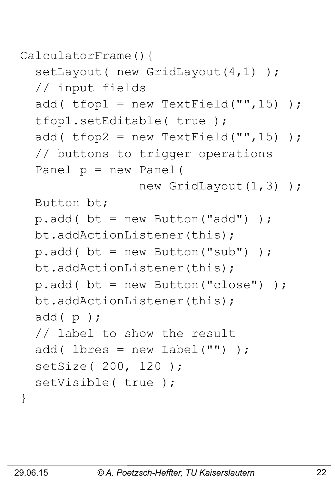```
CalculatorFrame(){
```

```
setLayout ( new GridLayout (4, 1) ) ;
 // input fields 
add( t fop1 = new TextField("", 15) );
 tfop1.setEditable( true ); 
add( t fop2 = new TextField("", 15) );
 // buttons to trigger operations 
 Panel p = new Panel( 
               new GridLayout (1,3) );
 Button bt; 
p.add() bt = new Button("add") );
 bt.addActionListener(this); 
p.add() bt = new Button("sub") );
 bt.addActionListener(this); 
p.add() bt = new Button("close") );
 bt.addActionListener(this); 
 add( p ); 
 // label to show the result 
add( lbres = new Label("") ) ;
 setSize( 200, 120 ); 
setVisible( true );
```
}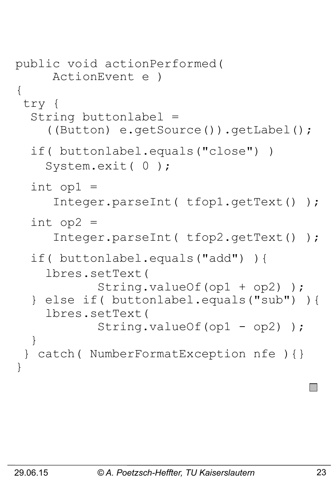```
public void actionPerformed( 
      ActionEvent e ) 
{ 
  try { 
   String buttonlabel = 
      ((Button) e.getSource()).getLabel(); 
   if( buttonlabel.equals("close") ) 
     System.exit( 0 ); 
  int op1 =
      Integer.parseInt( tfop1.getText() ); 
   int op2 = 
      Integer.parseInt( tfop2.getText() ); 
   if( buttonlabel.equals("add") ){ 
     lbres.setText( 
             String.valueOf(op1 + op2) ); 
   } else if( buttonlabel.equals("sub") ){ 
     lbres.setText( 
            String.valueOf(op1 - op2));
   } 
  } catch( NumberFormatException nfe ){} 
}
```